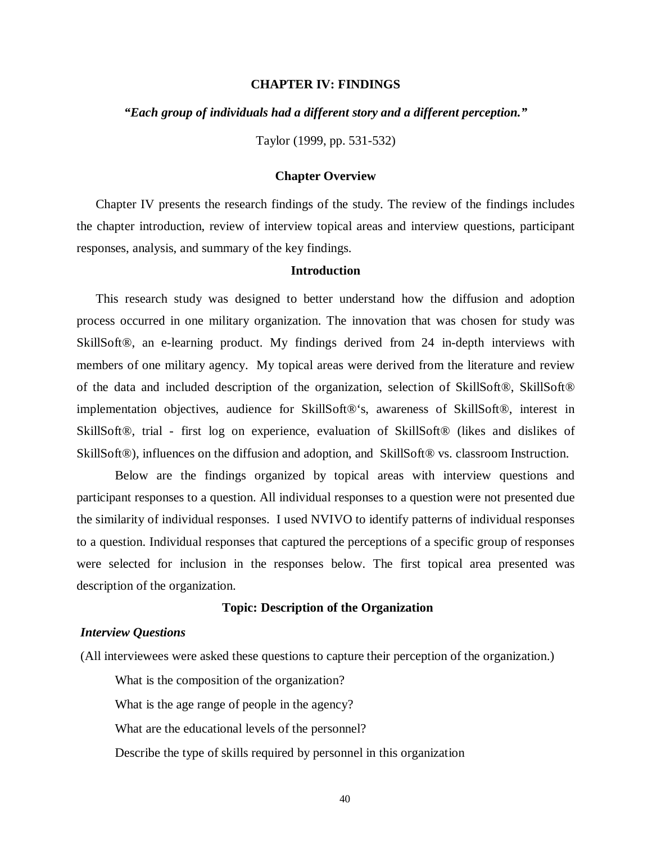### **CHAPTER IV: FINDINGS**

#### *"Each group of individuals had a different story and a different perception."*

Taylor (1999, pp. 531-532)

#### **Chapter Overview**

Chapter IV presents the research findings of the study. The review of the findings includes the chapter introduction, review of interview topical areas and interview questions, participant responses, analysis, and summary of the key findings.

#### **Introduction**

This research study was designed to better understand how the diffusion and adoption process occurred in one military organization. The innovation that was chosen for study was SkillSoft®, an e-learning product. My findings derived from 24 in-depth interviews with members of one military agency. My topical areas were derived from the literature and review of the data and included description of the organization, selection of SkillSoft®, SkillSoft® implementation objectives, audience for SkillSoft®'s, awareness of SkillSoft®, interest in SkillSoft®, trial - first log on experience, evaluation of SkillSoft® (likes and dislikes of SkillSoft®), influences on the diffusion and adoption, and SkillSoft® vs. classroom Instruction.

 Below are the findings organized by topical areas with interview questions and participant responses to a question. All individual responses to a question were not presented due the similarity of individual responses. I used NVIVO to identify patterns of individual responses to a question. Individual responses that captured the perceptions of a specific group of responses were selected for inclusion in the responses below. The first topical area presented was description of the organization.

### **Topic: Description of the Organization**

# *Interview Questions*

(All interviewees were asked these questions to capture their perception of the organization.)

What is the composition of the organization?

What is the age range of people in the agency?

What are the educational levels of the personnel?

Describe the type of skills required by personnel in this organization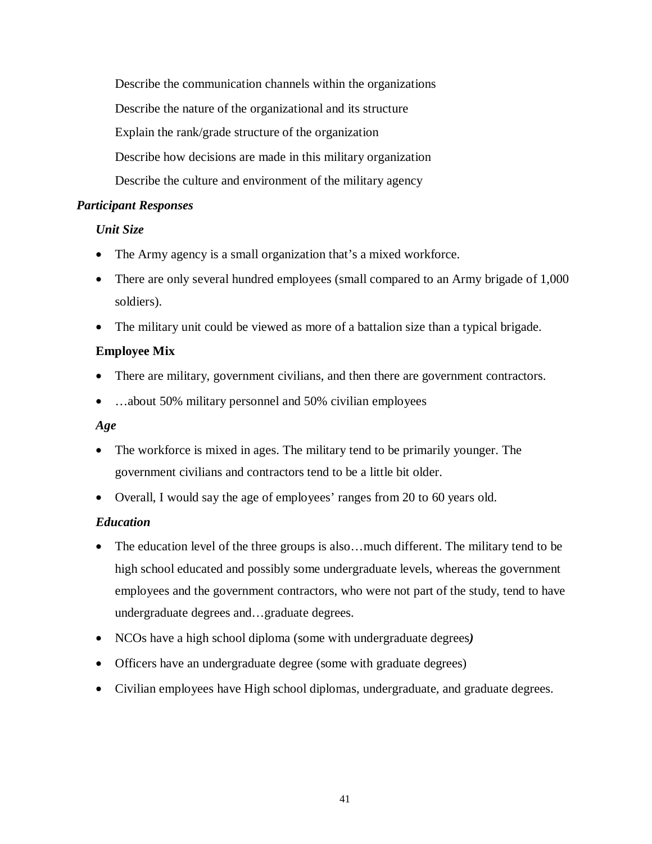Describe the communication channels within the organizations Describe the nature of the organizational and its structure Explain the rank/grade structure of the organization Describe how decisions are made in this military organization Describe the culture and environment of the military agency

# *Participant Responses*

# *Unit Size*

- The Army agency is a small organization that's a mixed workforce.
- There are only several hundred employees (small compared to an Army brigade of 1,000 soldiers).
- The military unit could be viewed as more of a battalion size than a typical brigade.

# **Employee Mix**

- There are military, government civilians, and then there are government contractors.
- ...about 50% military personnel and 50% civilian employees

# *Age*

- The workforce is mixed in ages. The military tend to be primarily younger. The government civilians and contractors tend to be a little bit older.
- Overall, I would say the age of employees' ranges from 20 to 60 years old.

# *Education*

- The education level of the three groups is also...much different. The military tend to be high school educated and possibly some undergraduate levels, whereas the government employees and the government contractors, who were not part of the study, tend to have undergraduate degrees and…graduate degrees.
- NCOs have a high school diploma (some with undergraduate degrees*)*
- Officers have an undergraduate degree (some with graduate degrees)
- Civilian employees have High school diplomas, undergraduate, and graduate degrees.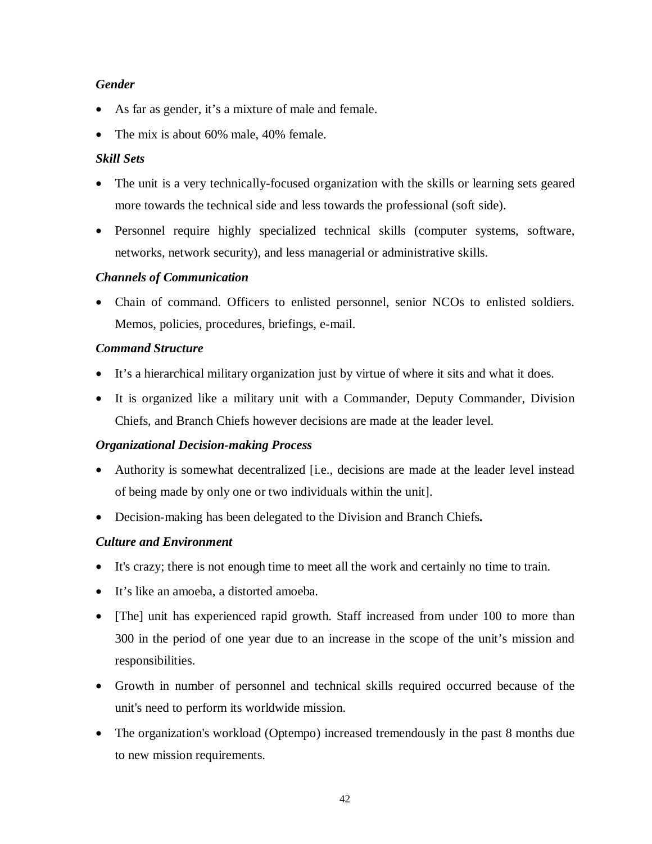# *Gender*

- As far as gender, it's a mixture of male and female.
- The mix is about 60% male, 40% female.

# *Skill Sets*

- The unit is a very technically-focused organization with the skills or learning sets geared more towards the technical side and less towards the professional (soft side).
- Personnel require highly specialized technical skills (computer systems, software, networks, network security), and less managerial or administrative skills.

# *Channels of Communication*

• Chain of command. Officers to enlisted personnel, senior NCOs to enlisted soldiers. Memos, policies, procedures, briefings, e-mail.

# *Command Structure*

- It's a hierarchical military organization just by virtue of where it sits and what it does.
- It is organized like a military unit with a Commander, Deputy Commander, Division Chiefs, and Branch Chiefs however decisions are made at the leader level.

# *Organizational Decision-making Process*

- Authority is somewhat decentralized [i.e., decisions are made at the leader level instead of being made by only one or two individuals within the unit].
- Decision-making has been delegated to the Division and Branch Chiefs**.**

# *Culture and Environment*

- It's crazy; there is not enough time to meet all the work and certainly no time to train.
- It's like an amoeba, a distorted amoeba.
- [The] unit has experienced rapid growth. Staff increased from under 100 to more than 300 in the period of one year due to an increase in the scope of the unit's mission and responsibilities.
- Growth in number of personnel and technical skills required occurred because of the unit's need to perform its worldwide mission.
- The organization's workload (Optempo) increased tremendously in the past 8 months due to new mission requirements.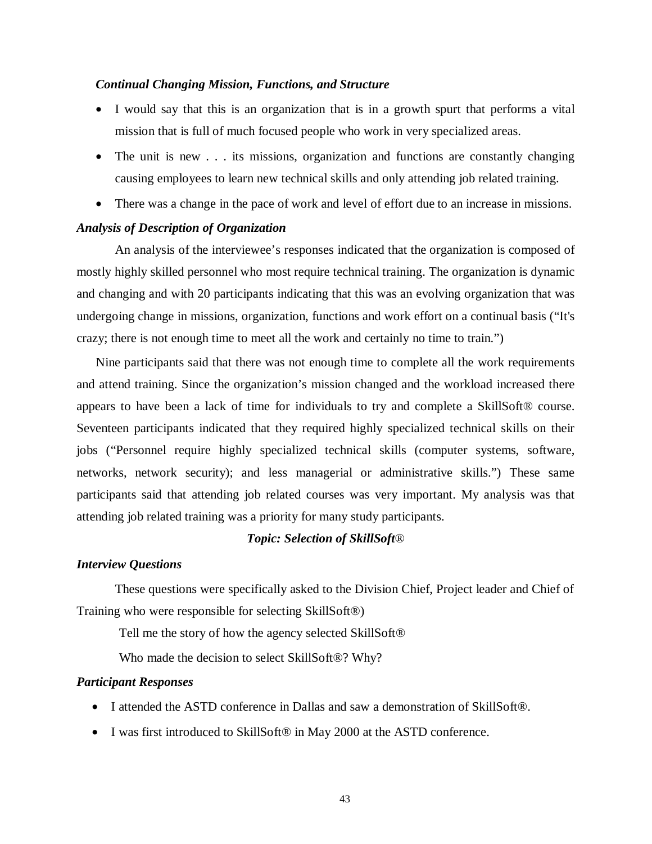#### *Continual Changing Mission, Functions, and Structure*

- I would say that this is an organization that is in a growth spurt that performs a vital mission that is full of much focused people who work in very specialized areas.
- The unit is new . . . its missions, organization and functions are constantly changing causing employees to learn new technical skills and only attending job related training.
- There was a change in the pace of work and level of effort due to an increase in missions.

### *Analysis of Description of Organization*

 An analysis of the interviewee's responses indicated that the organization is composed of mostly highly skilled personnel who most require technical training. The organization is dynamic and changing and with 20 participants indicating that this was an evolving organization that was undergoing change in missions, organization, functions and work effort on a continual basis ("It's crazy; there is not enough time to meet all the work and certainly no time to train.")

Nine participants said that there was not enough time to complete all the work requirements and attend training. Since the organization's mission changed and the workload increased there appears to have been a lack of time for individuals to try and complete a SkillSoft® course. Seventeen participants indicated that they required highly specialized technical skills on their jobs ("Personnel require highly specialized technical skills (computer systems, software, networks, network security); and less managerial or administrative skills.") These same participants said that attending job related courses was very important. My analysis was that attending job related training was a priority for many study participants.

## *Topic: Selection of SkillSoft*®

### *Interview Questions*

These questions were specifically asked to the Division Chief, Project leader and Chief of Training who were responsible for selecting SkillSoft®)

Tell me the story of how the agency selected SkillSoft®

Who made the decision to select SkillSoft®? Why?

- I attended the ASTD conference in Dallas and saw a demonstration of SkillSoft®.
- I was first introduced to SkillSoft® in May 2000 at the ASTD conference.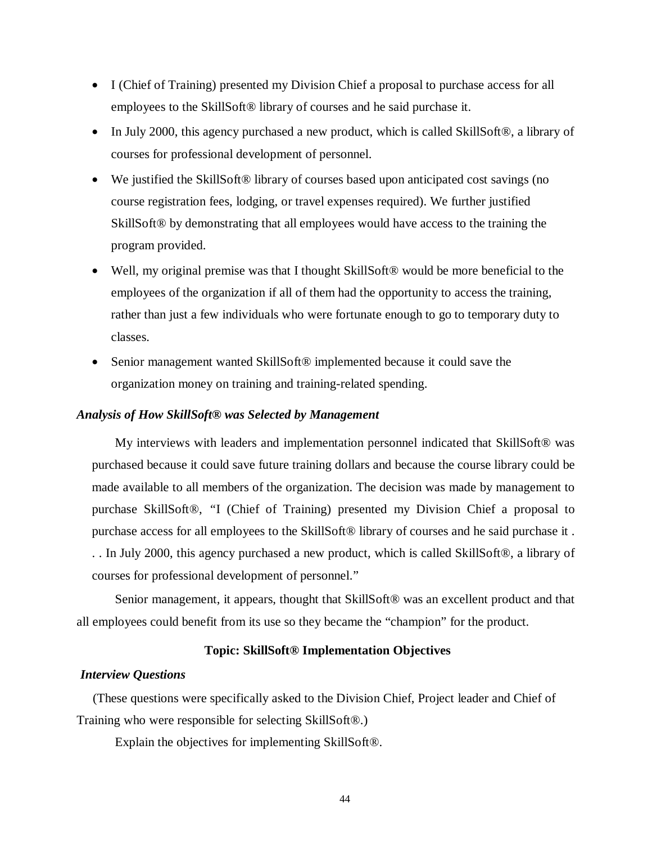- I (Chief of Training) presented my Division Chief a proposal to purchase access for all employees to the SkillSoft® library of courses and he said purchase it.
- In July 2000, this agency purchased a new product, which is called SkillSoft<sup>®</sup>, a library of courses for professional development of personnel.
- We justified the SkillSoft<sup>®</sup> library of courses based upon anticipated cost savings (no course registration fees, lodging, or travel expenses required). We further justified SkillSoft® by demonstrating that all employees would have access to the training the program provided.
- Well, my original premise was that I thought SkillSoft® would be more beneficial to the employees of the organization if all of them had the opportunity to access the training, rather than just a few individuals who were fortunate enough to go to temporary duty to classes.
- Senior management wanted SkillSoft<sup>®</sup> implemented because it could save the organization money on training and training-related spending.

### *Analysis of How SkillSoft® was Selected by Management*

 My interviews with leaders and implementation personnel indicated that SkillSoft® was purchased because it could save future training dollars and because the course library could be made available to all members of the organization. The decision was made by management to purchase SkillSoft®, *"*I (Chief of Training) presented my Division Chief a proposal to purchase access for all employees to the SkillSoft® library of courses and he said purchase it . . . In July 2000, this agency purchased a new product, which is called SkillSoft®, a library of courses for professional development of personnel."

 Senior management, it appears, thought that SkillSoft® was an excellent product and that all employees could benefit from its use so they became the "champion" for the product.

#### **Topic: SkillSoft® Implementation Objectives**

#### *Interview Questions*

 (These questions were specifically asked to the Division Chief, Project leader and Chief of Training who were responsible for selecting SkillSoft®.)

Explain the objectives for implementing SkillSoft®.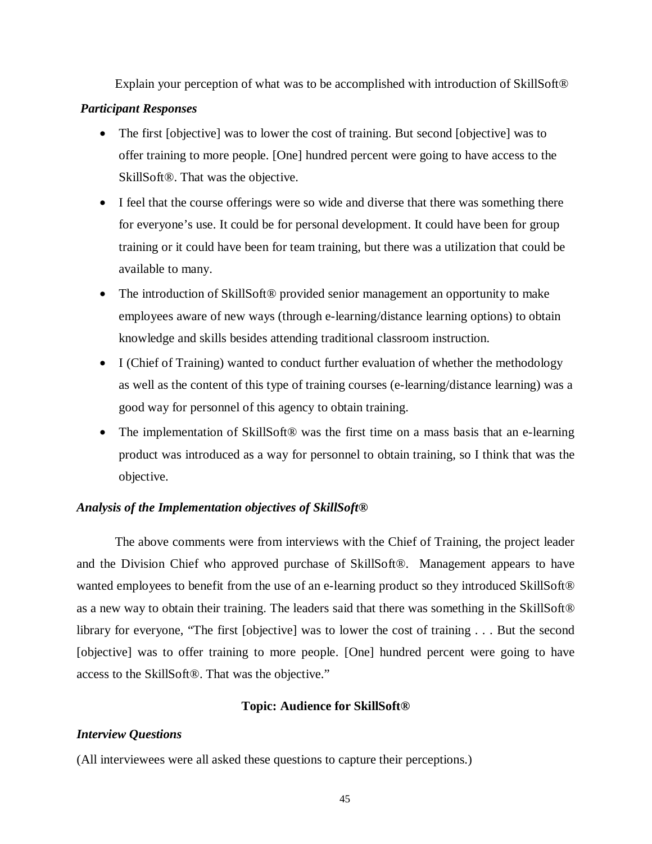Explain your perception of what was to be accomplished with introduction of SkillSoft®

## *Participant Responses*

- The first [objective] was to lower the cost of training. But second [objective] was to offer training to more people. [One] hundred percent were going to have access to the SkillSoft®. That was the objective.
- I feel that the course offerings were so wide and diverse that there was something there for everyone's use. It could be for personal development. It could have been for group training or it could have been for team training, but there was a utilization that could be available to many.
- The introduction of SkillSoft<sup>®</sup> provided senior management an opportunity to make employees aware of new ways (through e-learning/distance learning options) to obtain knowledge and skills besides attending traditional classroom instruction.
- I (Chief of Training) wanted to conduct further evaluation of whether the methodology as well as the content of this type of training courses (e-learning/distance learning) was a good way for personnel of this agency to obtain training.
- The implementation of SkillSoft<sup>®</sup> was the first time on a mass basis that an e-learning product was introduced as a way for personnel to obtain training, so I think that was the objective.

## *Analysis of the Implementation objectives of SkillSoft®*

The above comments were from interviews with the Chief of Training, the project leader and the Division Chief who approved purchase of SkillSoft®. Management appears to have wanted employees to benefit from the use of an e-learning product so they introduced SkillSoft® as a new way to obtain their training. The leaders said that there was something in the SkillSoft<sup>®</sup> library for everyone, "The first [objective] was to lower the cost of training . . . But the second [objective] was to offer training to more people. [One] hundred percent were going to have access to the SkillSoft®. That was the objective."

## **Topic: Audience for SkillSoft®**

## *Interview Questions*

(All interviewees were all asked these questions to capture their perceptions.)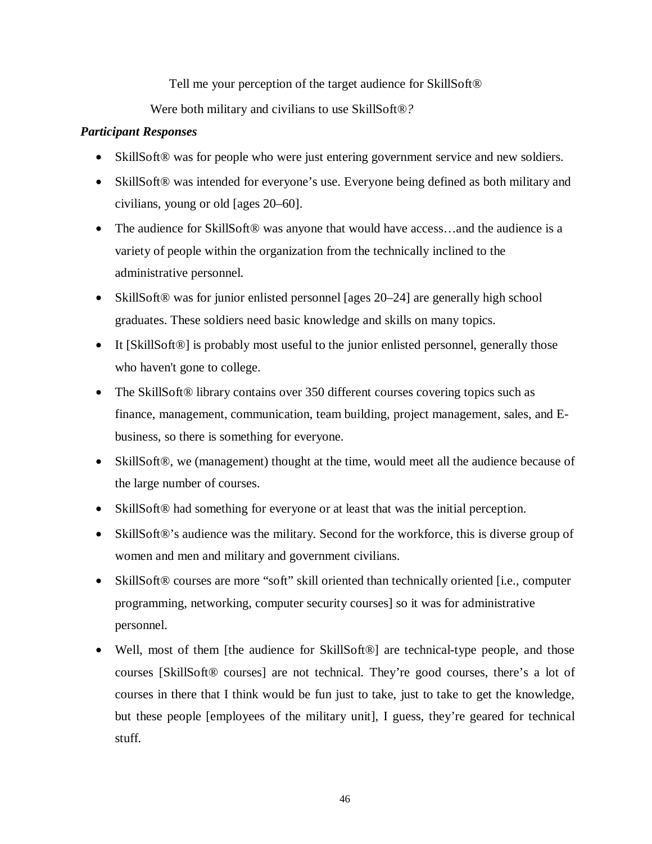Tell me your perception of the target audience for SkillSoft®

Were both military and civilians to use SkillSoft®*?*

- SkillSoft<sup>®</sup> was for people who were just entering government service and new soldiers.
- SkillSoft® was intended for everyone's use. Everyone being defined as both military and civilians, young or old [ages 20–60].
- The audience for SkillSoft® was anyone that would have access...and the audience is a variety of people within the organization from the technically inclined to the administrative personnel.
- SkillSoft® was for junior enlisted personnel [ages 20–24] are generally high school graduates. These soldiers need basic knowledge and skills on many topics.
- It [SkillSoft<sup>®]</sup> is probably most useful to the junior enlisted personnel, generally those who haven't gone to college.
- The SkillSoft® library contains over 350 different courses covering topics such as finance, management, communication, team building, project management, sales, and Ebusiness, so there is something for everyone.
- SkillSoft<sup>®</sup>, we (management) thought at the time, would meet all the audience because of the large number of courses.
- SkillSoft<sup>®</sup> had something for everyone or at least that was the initial perception.
- SkillSoft<sup>®</sup>'s audience was the military. Second for the workforce, this is diverse group of women and men and military and government civilians.
- SkillSoft<sup>®</sup> courses are more "soft" skill oriented than technically oriented [i.e., computer programming, networking, computer security courses] so it was for administrative personnel.
- Well, most of them [the audience for SkillSoft®] are technical-type people, and those courses [SkillSoft® courses] are not technical. They're good courses, there's a lot of courses in there that I think would be fun just to take, just to take to get the knowledge, but these people [employees of the military unit], I guess, they're geared for technical stuff.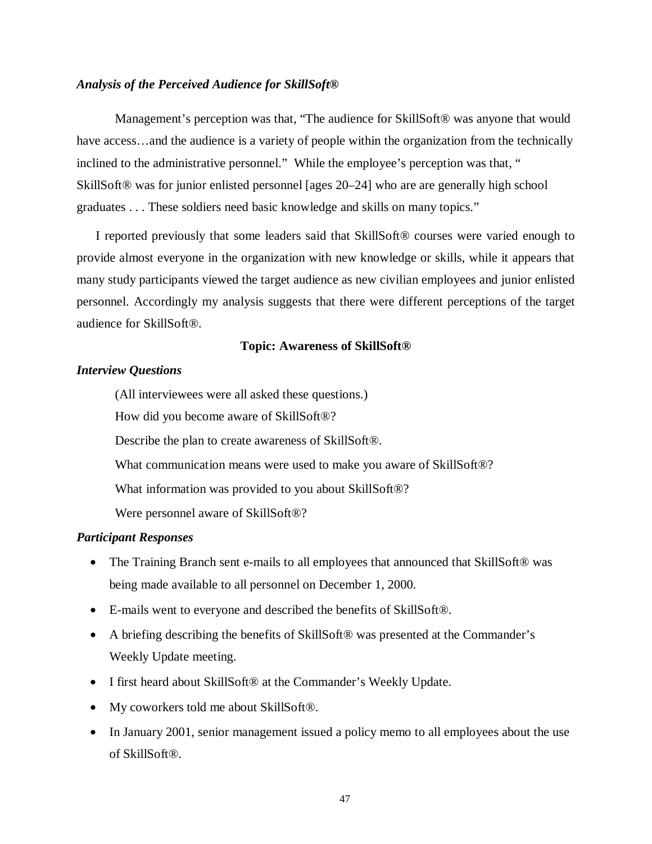## *Analysis of the Perceived Audience for SkillSoft®*

 Management's perception was that*,* "The audience for SkillSoft® was anyone that would have access...and the audience is a variety of people within the organization from the technically inclined to the administrative personnel." While the employee's perception was that, " SkillSoft® was for junior enlisted personnel [ages 20–24] who are are generally high school graduates . . . These soldiers need basic knowledge and skills on many topics."

I reported previously that some leaders said that SkillSoft® courses were varied enough to provide almost everyone in the organization with new knowledge or skills, while it appears that many study participants viewed the target audience as new civilian employees and junior enlisted personnel. Accordingly my analysis suggests that there were different perceptions of the target audience for SkillSoft®.

## **Topic: Awareness of SkillSoft®**

#### *Interview Questions*

(All interviewees were all asked these questions.) How did you become aware of SkillSoft®? Describe the plan to create awareness of SkillSoft®. What communication means were used to make you aware of SkillSoft®? What information was provided to you about SkillSoft®? Were personnel aware of SkillSoft®?

- The Training Branch sent e-mails to all employees that announced that SkillSoft® was being made available to all personnel on December 1, 2000.
- E-mails went to everyone and described the benefits of SkillSoft®.
- A briefing describing the benefits of SkillSoft® was presented at the Commander's Weekly Update meeting.
- I first heard about SkillSoft® at the Commander's Weekly Update.
- My coworkers told me about SkillSoft®.
- In January 2001, senior management issued a policy memo to all employees about the use of SkillSoft®.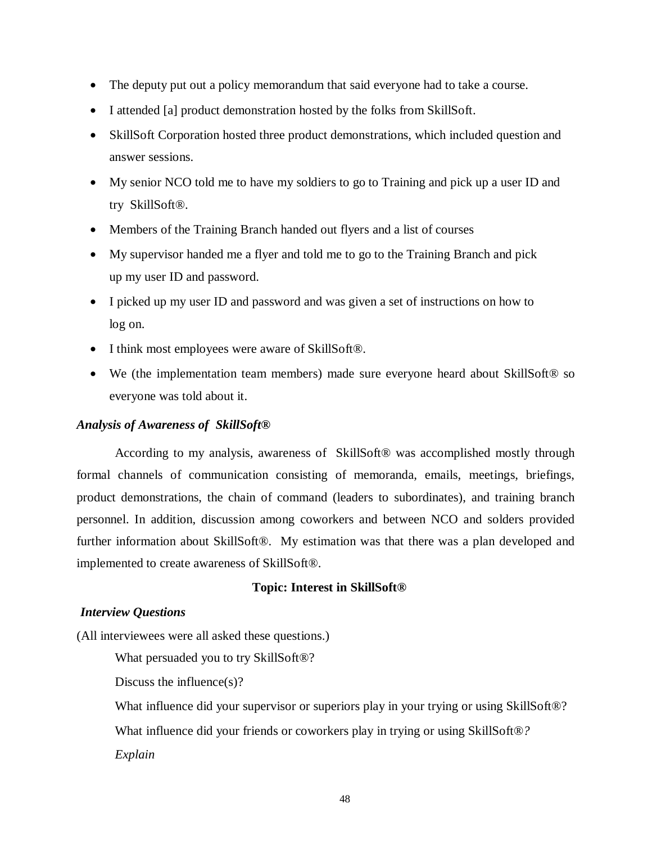- The deputy put out a policy memorandum that said everyone had to take a course.
- I attended [a] product demonstration hosted by the folks from SkillSoft.
- SkillSoft Corporation hosted three product demonstrations, which included question and answer sessions.
- My senior NCO told me to have my soldiers to go to Training and pick up a user ID and try SkillSoft®.
- Members of the Training Branch handed out flyers and a list of courses
- My supervisor handed me a flyer and told me to go to the Training Branch and pick up my user ID and password.
- I picked up my user ID and password and was given a set of instructions on how to log on.
- I think most employees were aware of SkillSoft<sup>®</sup>.
- We (the implementation team members) made sure everyone heard about SkillSoft<sup>®</sup> so everyone was told about it.

## *Analysis of Awareness of SkillSoft®*

 According to my analysis, awareness ofSkillSoft® was accomplished mostly through formal channels of communication consisting of memoranda, emails, meetings, briefings, product demonstrations, the chain of command (leaders to subordinates), and training branch personnel. In addition, discussion among coworkers and between NCO and solders provided further information about SkillSoft®. My estimation was that there was a plan developed and implemented to create awareness of SkillSoft®.

## **Topic: Interest in SkillSoft***®*

# *Interview Questions*

(All interviewees were all asked these questions.)

What persuaded you to try SkillSoft®?

Discuss the influence(s)?

What influence did your supervisor or superiors play in your trying or using SkillSoft<sup>®?</sup> What influence did your friends or coworkers play in trying or using SkillSoft®*?* 

*Explain*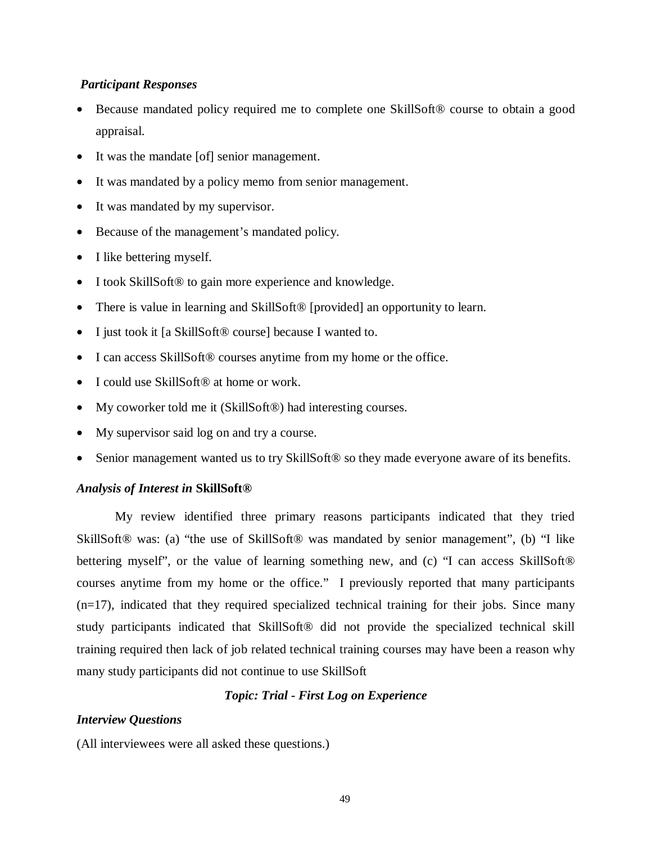## *Participant Responses*

- Because mandated policy required me to complete one SkillSoft® course to obtain a good appraisal.
- It was the mandate [of] senior management.
- It was mandated by a policy memo from senior management.
- It was mandated by my supervisor.
- Because of the management's mandated policy.
- I like bettering myself.
- I took SkillSoft<sup>®</sup> to gain more experience and knowledge.
- There is value in learning and SkillSoft® [provided] an opportunity to learn.
- I just took it [a SkillSoft<sup>®</sup> course] because I wanted to.
- I can access SkillSoft® courses anytime from my home or the office.
- I could use SkillSoft<sup>®</sup> at home or work.
- My coworker told me it (SkillSoft®) had interesting courses.
- My supervisor said log on and try a course.
- Senior management wanted us to try SkillSoft® so they made everyone aware of its benefits.

# *Analysis of Interest in* **SkillSoft®**

My review identified three primary reasons participants indicated that they tried SkillSoft® was: (a) "the use of SkillSoft® was mandated by senior management", (b) "I like bettering myself", or the value of learning something new, and (c) "I can access SkillSoft® courses anytime from my home or the office." I previously reported that many participants  $(n=17)$ , indicated that they required specialized technical training for their jobs. Since many study participants indicated that SkillSoft® did not provide the specialized technical skill training required then lack of job related technical training courses may have been a reason why many study participants did not continue to use SkillSoft

# *Topic: Trial - First Log on Experience*

# *Interview Questions*

(All interviewees were all asked these questions.)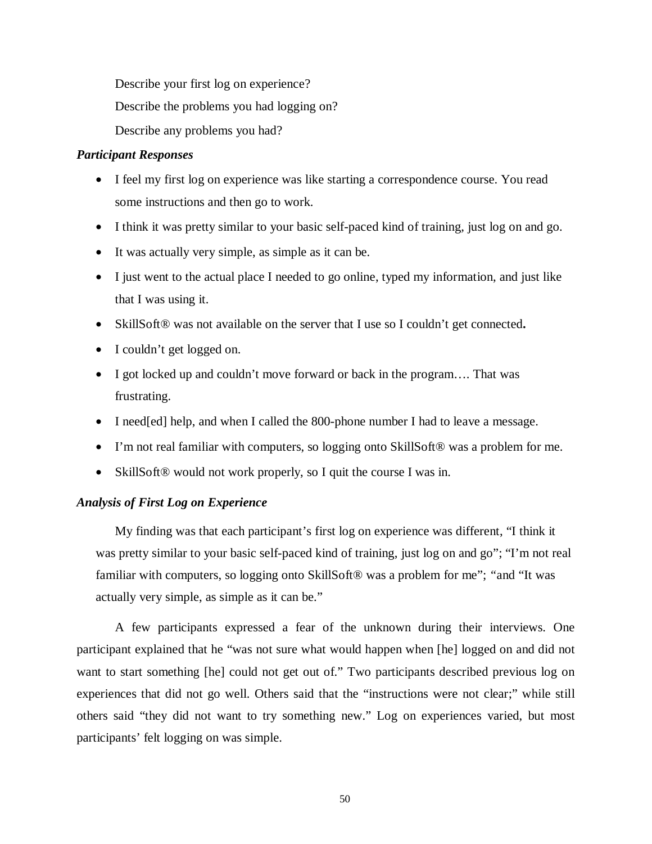Describe your first log on experience? Describe the problems you had logging on? Describe any problems you had?

# *Participant Responses*

- I feel my first log on experience was like starting a correspondence course. You read some instructions and then go to work.
- I think it was pretty similar to your basic self-paced kind of training, just log on and go.
- It was actually very simple, as simple as it can be.
- I just went to the actual place I needed to go online, typed my information, and just like that I was using it.
- SkillSoft® was not available on the server that I use so I couldn't get connected**.**
- I couldn't get logged on.
- I got locked up and couldn't move forward or back in the program.... That was frustrating.
- I need[ed] help, and when I called the 800-phone number I had to leave a message.
- I'm not real familiar with computers, so logging onto SkillSoft® was a problem for me.
- SkillSoft® would not work properly, so I quit the course I was in.

# *Analysis of First Log on Experience*

My finding was that each participant's first log on experience was different, "I think it was pretty similar to your basic self-paced kind of training, just log on and go"; "I'm not real familiar with computers, so logging onto SkillSoft® was a problem for me"; *"*and "It was actually very simple, as simple as it can be."

 A few participants expressed a fear of the unknown during their interviews. One participant explained that he "was not sure what would happen when [he] logged on and did not want to start something [he] could not get out of." Two participants described previous log on experiences that did not go well. Others said that the "instructions were not clear;" while still others said "they did not want to try something new." Log on experiences varied, but most participants' felt logging on was simple.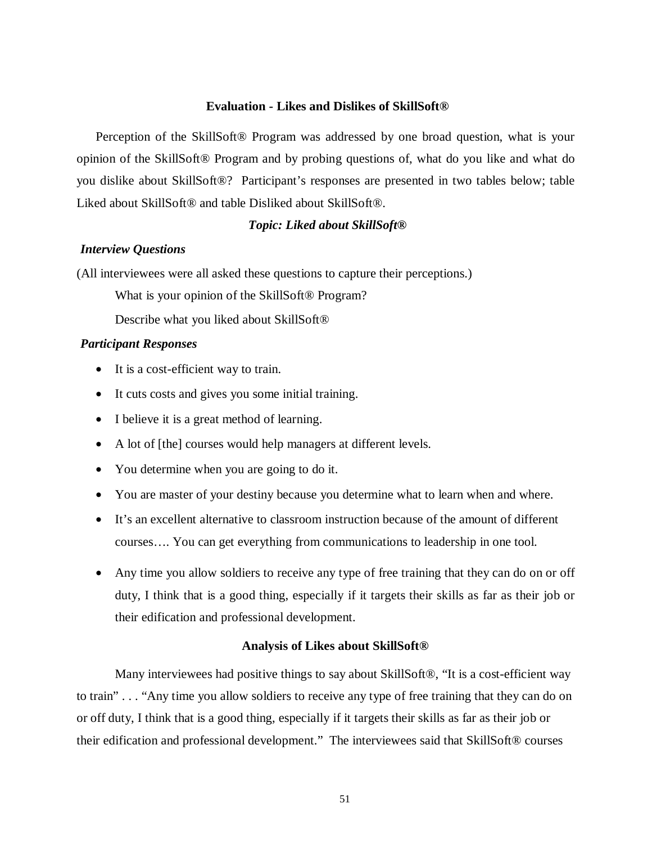### **Evaluation - Likes and Dislikes of SkillSoft***®*

Perception of the SkillSoft® Program was addressed by one broad question, what is your opinion of the SkillSoft® Program and by probing questions of, what do you like and what do you dislike about SkillSoft®? Participant's responses are presented in two tables below; table Liked about SkillSoft® and table Disliked about SkillSoft®.

## *Topic: Liked about SkillSoft®*

## *Interview Questions*

(All interviewees were all asked these questions to capture their perceptions.)

What is your opinion of the SkillSoft<sup>®</sup> Program?

Describe what you liked about SkillSoft®

#### *Participant Responses*

- It is a cost-efficient way to train.
- It cuts costs and gives you some initial training.
- I believe it is a great method of learning.
- A lot of [the] courses would help managers at different levels.
- You determine when you are going to do it.
- You are master of your destiny because you determine what to learn when and where.
- It's an excellent alternative to classroom instruction because of the amount of different courses…. You can get everything from communications to leadership in one tool.
- Any time you allow soldiers to receive any type of free training that they can do on or off duty, I think that is a good thing, especially if it targets their skills as far as their job or their edification and professional development.

#### **Analysis of Likes about SkillSoft®**

Many interviewees had positive things to say about SkillSoft®, "It is a cost-efficient way to train" . . . "Any time you allow soldiers to receive any type of free training that they can do on or off duty, I think that is a good thing, especially if it targets their skills as far as their job or their edification and professional development." The interviewees said that SkillSoft® courses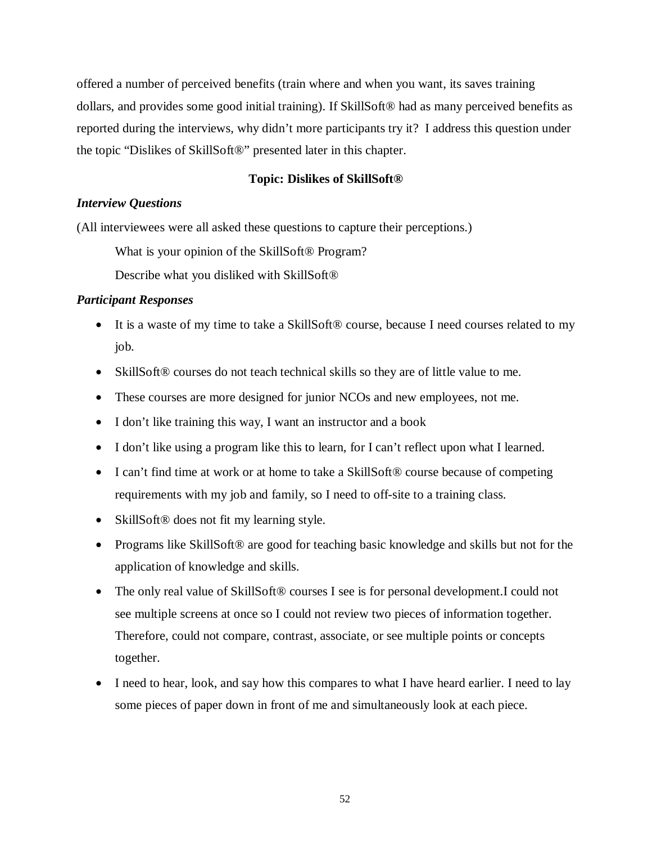offered a number of perceived benefits (train where and when you want, its saves training dollars, and provides some good initial training). If SkillSoft® had as many perceived benefits as reported during the interviews, why didn't more participants try it? I address this question under the topic "Dislikes of SkillSoft®" presented later in this chapter.

## **Topic: Dislikes of SkillSoft®**

## *Interview Questions*

(All interviewees were all asked these questions to capture their perceptions.)

What is your opinion of the SkillSoft® Program?

Describe what you disliked with SkillSoft®

- It is a waste of my time to take a SkillSoft® course, because I need courses related to my job.
- SkillSoft® courses do not teach technical skills so they are of little value to me.
- These courses are more designed for junior NCOs and new employees, not me.
- I don't like training this way, I want an instructor and a book
- I don't like using a program like this to learn, for I can't reflect upon what I learned.
- I can't find time at work or at home to take a SkillSoft<sup>®</sup> course because of competing requirements with my job and family, so I need to off-site to a training class.
- SkillSoft<sup>®</sup> does not fit my learning style.
- Programs like SkillSoft® are good for teaching basic knowledge and skills but not for the application of knowledge and skills.
- The only real value of SkillSoft<sup>®</sup> courses I see is for personal development.I could not see multiple screens at once so I could not review two pieces of information together. Therefore, could not compare, contrast, associate, or see multiple points or concepts together.
- I need to hear, look, and say how this compares to what I have heard earlier. I need to lay some pieces of paper down in front of me and simultaneously look at each piece.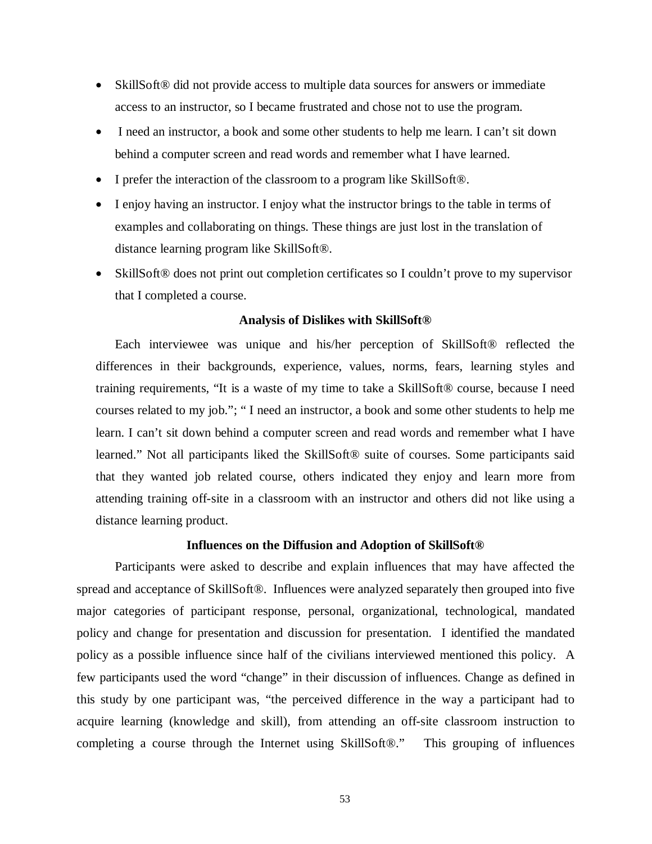- SkillSoft<sup>®</sup> did not provide access to multiple data sources for answers or immediate access to an instructor, so I became frustrated and chose not to use the program.
- I need an instructor, a book and some other students to help me learn. I can't sit down behind a computer screen and read words and remember what I have learned.
- I prefer the interaction of the classroom to a program like SkillSoft<sup>®</sup>.
- I enjoy having an instructor. I enjoy what the instructor brings to the table in terms of examples and collaborating on things. These things are just lost in the translation of distance learning program like SkillSoft®.
- SkillSoft® does not print out completion certificates so I couldn't prove to my supervisor that I completed a course.

#### **Analysis of Dislikes with SkillSoft®**

Each interviewee was unique and his/her perception of SkillSoft® reflected the differences in their backgrounds, experience, values, norms, fears, learning styles and training requirements, "It is a waste of my time to take a SkillSoft® course, because I need courses related to my job."; " I need an instructor, a book and some other students to help me learn. I can't sit down behind a computer screen and read words and remember what I have learned." Not all participants liked the SkillSoft® suite of courses. Some participants said that they wanted job related course, others indicated they enjoy and learn more from attending training off-site in a classroom with an instructor and others did not like using a distance learning product.

#### **Influences on the Diffusion and Adoption of SkillSoft®**

Participants were asked to describe and explain influences that may have affected the spread and acceptance of SkillSoft®. Influences were analyzed separately then grouped into five major categories of participant response, personal, organizational, technological, mandated policy and change for presentation and discussion for presentation. I identified the mandated policy as a possible influence since half of the civilians interviewed mentioned this policy. A few participants used the word "change" in their discussion of influences. Change as defined in this study by one participant was, "the perceived difference in the way a participant had to acquire learning (knowledge and skill), from attending an off-site classroom instruction to completing a course through the Internet using SkillSoft®." This grouping of influences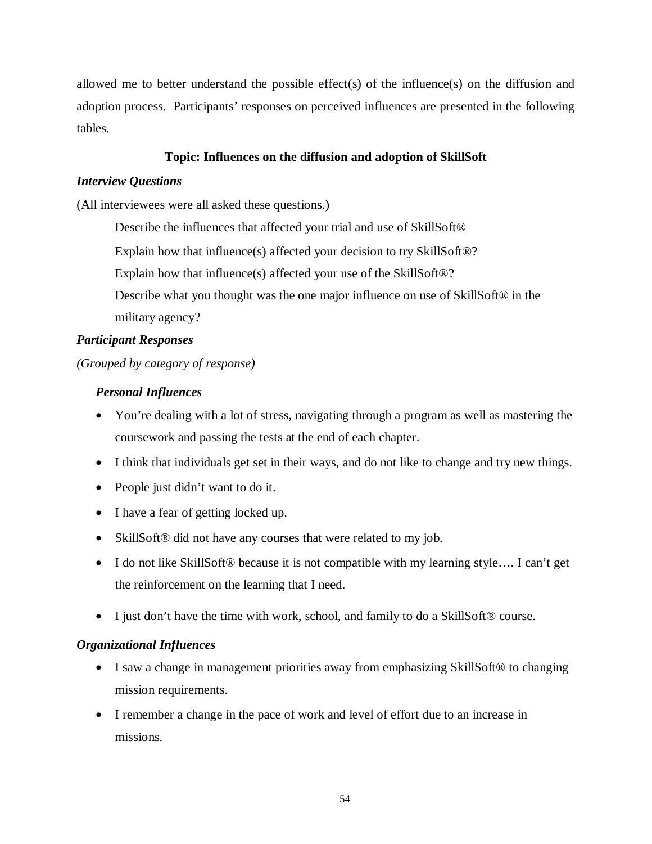allowed me to better understand the possible effect(s) of the influence(s) on the diffusion and adoption process. Participants' responses on perceived influences are presented in the following tables.

# **Topic: Influences on the diffusion and adoption of SkillSoft**

# *Interview Questions*

(All interviewees were all asked these questions.)

Describe the influences that affected your trial and use of SkillSoft®

Explain how that influence(s) affected your decision to try SkillSoft®?

Explain how that influence(s) affected your use of the SkillSoft®?

Describe what you thought was the one major influence on use of SkillSoft® in the military agency?

# *Participant Responses*

*(Grouped by category of response)* 

# *Personal Influences*

- You're dealing with a lot of stress, navigating through a program as well as mastering the coursework and passing the tests at the end of each chapter.
- I think that individuals get set in their ways, and do not like to change and try new things.
- People just didn't want to do it.
- I have a fear of getting locked up.
- SkillSoft<sup>®</sup> did not have any courses that were related to my job.
- I do not like SkillSoft<sup>®</sup> because it is not compatible with my learning style.... I can't get the reinforcement on the learning that I need.
- I just don't have the time with work, school, and family to do a SkillSoft<sup>®</sup> course.

# *Organizational Influences*

- I saw a change in management priorities away from emphasizing SkillSoft® to changing mission requirements.
- I remember a change in the pace of work and level of effort due to an increase in missions.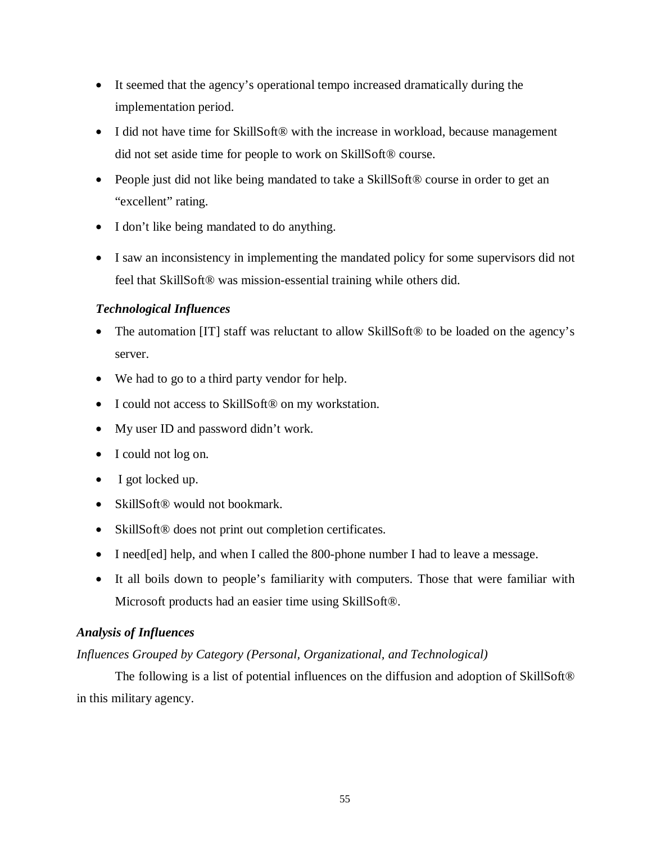- It seemed that the agency's operational tempo increased dramatically during the implementation period.
- I did not have time for SkillSoft<sup>®</sup> with the increase in workload, because management did not set aside time for people to work on SkillSoft® course.
- People just did not like being mandated to take a SkillSoft® course in order to get an "excellent" rating.
- I don't like being mandated to do anything.
- I saw an inconsistency in implementing the mandated policy for some supervisors did not feel that SkillSoft® was mission-essential training while others did.

# *Technological Influences*

- The automation [IT] staff was reluctant to allow SkillSoft® to be loaded on the agency's server.
- We had to go to a third party vendor for help.
- I could not access to SkillSoft® on my workstation.
- My user ID and password didn't work.
- I could not log on.
- I got locked up.
- SkillSoft<sup>®</sup> would not bookmark.
- SkillSoft<sup>®</sup> does not print out completion certificates.
- I need[ed] help, and when I called the 800-phone number I had to leave a message.
- It all boils down to people's familiarity with computers. Those that were familiar with Microsoft products had an easier time using SkillSoft®.

# *Analysis of Influences*

*Influences Grouped by Category (Personal, Organizational, and Technological)* 

 The following is a list of potential influences on the diffusion and adoption of SkillSoft® in this military agency.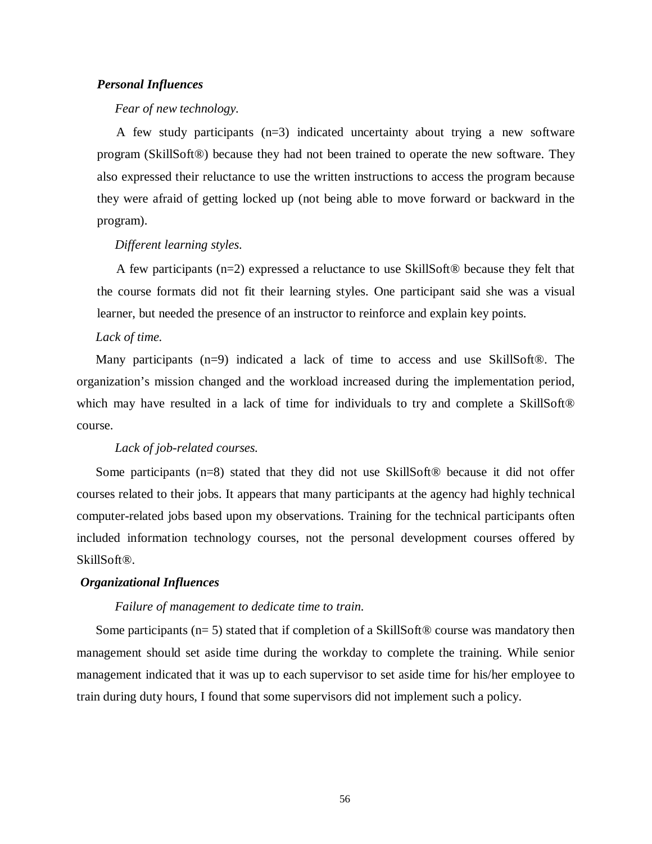# *Personal Influences*

#### *Fear of new technology.*

A few study participants (n=3) indicated uncertainty about trying a new software program (SkillSoft®) because they had not been trained to operate the new software. They also expressed their reluctance to use the written instructions to access the program because they were afraid of getting locked up (not being able to move forward or backward in the program).

### *Different learning styles.*

A few participants (n=2) expressed a reluctance to use SkillSoft® because they felt that the course formats did not fit their learning styles. One participant said she was a visual learner, but needed the presence of an instructor to reinforce and explain key points.

#### *Lack of time.*

Many participants (n=9) indicated a lack of time to access and use SkillSoft®. The organization's mission changed and the workload increased during the implementation period, which may have resulted in a lack of time for individuals to try and complete a SkillSoft® course.

#### *Lack of job-related courses.*

Some participants (n=8) stated that they did not use SkillSoft® because it did not offer courses related to their jobs. It appears that many participants at the agency had highly technical computer-related jobs based upon my observations. Training for the technical participants often included information technology courses, not the personal development courses offered by SkillSoft®.

#### *Organizational Influences*

#### *Failure of management to dedicate time to train.*

Some participants ( $n=5$ ) stated that if completion of a SkillSoft<sup>®</sup> course was mandatory then management should set aside time during the workday to complete the training. While senior management indicated that it was up to each supervisor to set aside time for his/her employee to train during duty hours, I found that some supervisors did not implement such a policy.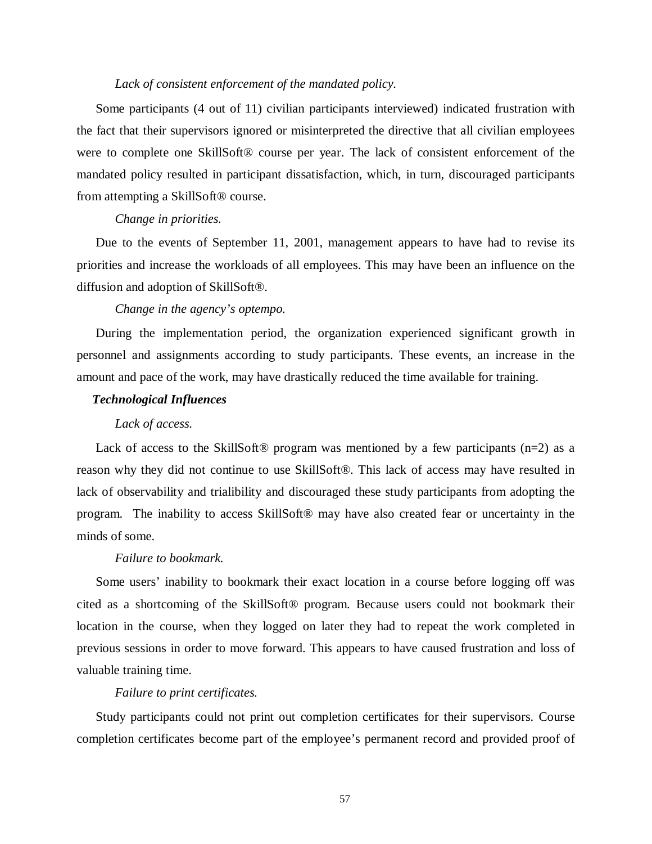#### *Lack of consistent enforcement of the mandated policy.*

Some participants (4 out of 11) civilian participants interviewed) indicated frustration with the fact that their supervisors ignored or misinterpreted the directive that all civilian employees were to complete one SkillSoft® course per year. The lack of consistent enforcement of the mandated policy resulted in participant dissatisfaction, which, in turn, discouraged participants from attempting a SkillSoft® course.

#### *Change in priorities.*

Due to the events of September 11, 2001, management appears to have had to revise its priorities and increase the workloads of all employees. This may have been an influence on the diffusion and adoption of SkillSoft®.

#### *Change in the agency's optempo.*

During the implementation period, the organization experienced significant growth in personnel and assignments according to study participants. These events, an increase in the amount and pace of the work, may have drastically reduced the time available for training.

#### *Technological Influences*

### *Lack of access.*

Lack of access to the SkillSoft<sup>®</sup> program was mentioned by a few participants  $(n=2)$  as a reason why they did not continue to use SkillSoft®. This lack of access may have resulted in lack of observability and trialibility and discouraged these study participants from adopting the program. The inability to access SkillSoft® may have also created fear or uncertainty in the minds of some.

#### *Failure to bookmark.*

Some users' inability to bookmark their exact location in a course before logging off was cited as a shortcoming of the SkillSoft® program. Because users could not bookmark their location in the course, when they logged on later they had to repeat the work completed in previous sessions in order to move forward. This appears to have caused frustration and loss of valuable training time.

#### *Failure to print certificates.*

Study participants could not print out completion certificates for their supervisors. Course completion certificates become part of the employee's permanent record and provided proof of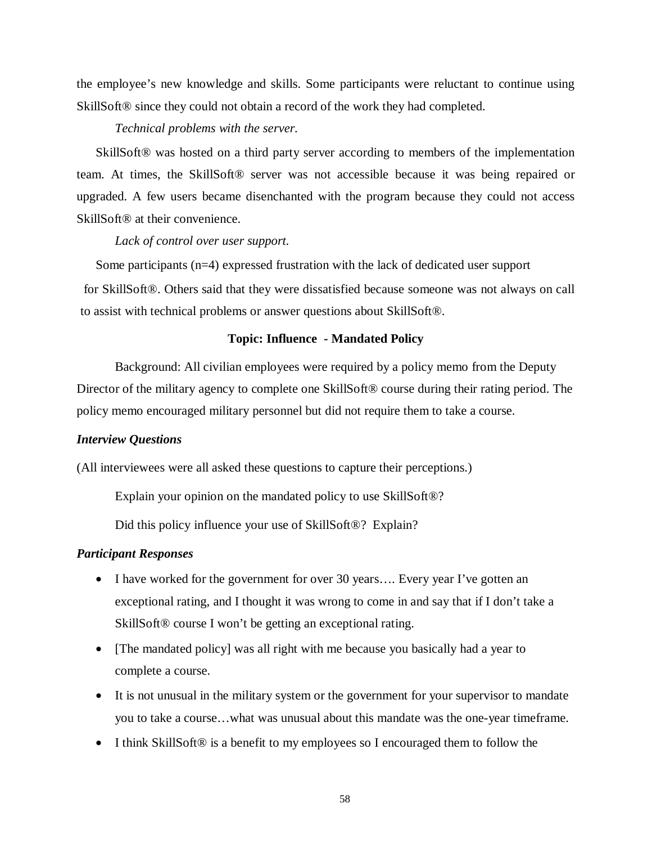the employee's new knowledge and skills. Some participants were reluctant to continue using SkillSoft® since they could not obtain a record of the work they had completed.

## *Technical problems with the server.*

SkillSoft® was hosted on a third party server according to members of the implementation team. At times, the SkillSoft® server was not accessible because it was being repaired or upgraded. A few users became disenchanted with the program because they could not access SkillSoft® at their convenience.

## *Lack of control over user support.*

Some participants (n=4) expressed frustration with the lack of dedicated user support for SkillSoft®. Others said that they were dissatisfied because someone was not always on call to assist with technical problems or answer questions about SkillSoft®.

### **Topic: Influence - Mandated Policy**

Background: All civilian employees were required by a policy memo from the Deputy Director of the military agency to complete one SkillSoft® course during their rating period. The policy memo encouraged military personnel but did not require them to take a course.

#### *Interview Questions*

(All interviewees were all asked these questions to capture their perceptions.)

Explain your opinion on the mandated policy to use SkillSoft®?

Did this policy influence your use of SkillSoft®? Explain?

- I have worked for the government for over 30 years.... Every year I've gotten an exceptional rating, and I thought it was wrong to come in and say that if I don't take a SkillSoft® course I won't be getting an exceptional rating.
- [The mandated policy] was all right with me because you basically had a year to complete a course.
- It is not unusual in the military system or the government for your supervisor to mandate you to take a course…what was unusual about this mandate was the one-year timeframe.
- I think SkillSoft<sup>®</sup> is a benefit to my employees so I encouraged them to follow the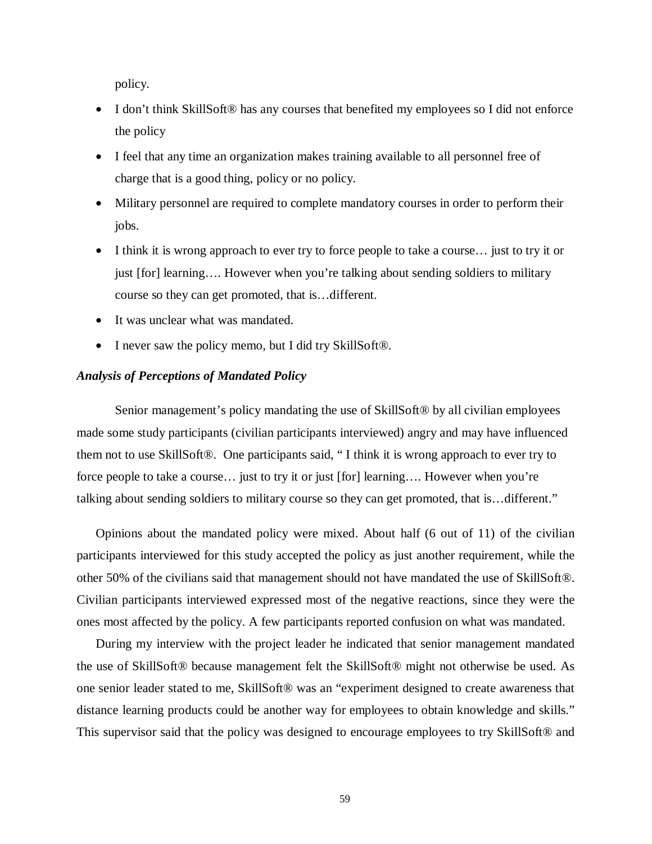policy.

- I don't think SkillSoft<sup>®</sup> has any courses that benefited my employees so I did not enforce the policy
- I feel that any time an organization makes training available to all personnel free of charge that is a good thing, policy or no policy.
- Military personnel are required to complete mandatory courses in order to perform their jobs.
- I think it is wrong approach to ever try to force people to take a course… just to try it or just [for] learning…. However when you're talking about sending soldiers to military course so they can get promoted, that is…different.
- It was unclear what was mandated.
- I never saw the policy memo, but I did try SkillSoft<sup>®</sup>.

## *Analysis of Perceptions of Mandated Policy*

Senior management's policy mandating the use of SkillSoft® by all civilian employees made some study participants (civilian participants interviewed) angry and may have influenced them not to use SkillSoft®. One participants said, " I think it is wrong approach to ever try to force people to take a course... just to try it or just [for] learning.... However when you're talking about sending soldiers to military course so they can get promoted, that is…different."

Opinions about the mandated policy were mixed. About half (6 out of 11) of the civilian participants interviewed for this study accepted the policy as just another requirement, while the other 50% of the civilians said that management should not have mandated the use of SkillSoft®. Civilian participants interviewed expressed most of the negative reactions, since they were the ones most affected by the policy. A few participants reported confusion on what was mandated.

During my interview with the project leader he indicated that senior management mandated the use of SkillSoft® because management felt the SkillSoft® might not otherwise be used. As one senior leader stated to me, SkillSoft® was an "experiment designed to create awareness that distance learning products could be another way for employees to obtain knowledge and skills." This supervisor said that the policy was designed to encourage employees to try SkillSoft® and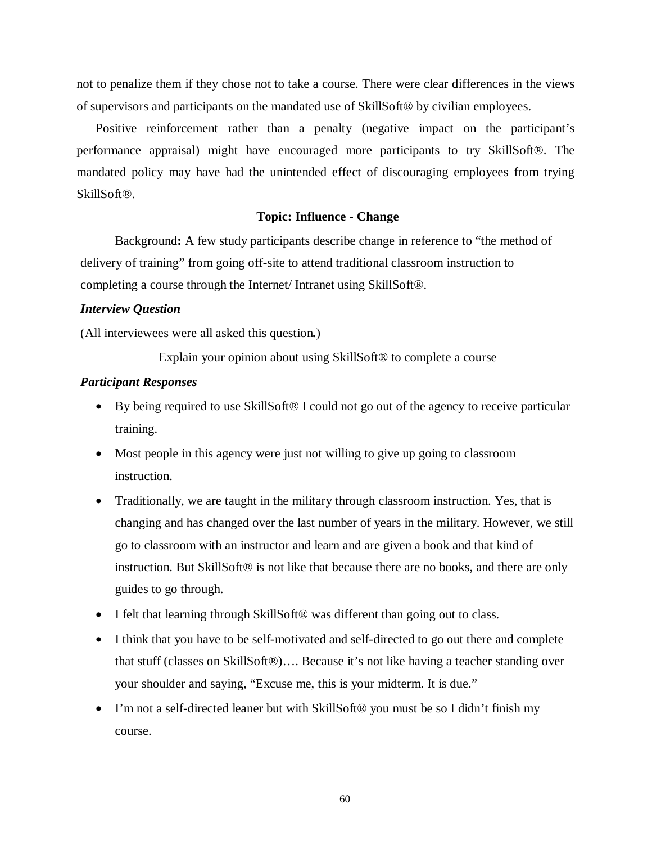not to penalize them if they chose not to take a course. There were clear differences in the views of supervisors and participants on the mandated use of SkillSoft® by civilian employees.

Positive reinforcement rather than a penalty (negative impact on the participant's performance appraisal) might have encouraged more participants to try SkillSoft®. The mandated policy may have had the unintended effect of discouraging employees from trying SkillSoft®.

## **Topic: Influence - Change**

Background**:** A few study participants describe change in reference to "the method of delivery of training" from going off-site to attend traditional classroom instruction to completing a course through the Internet/ Intranet using SkillSoft®.

#### *Interview Question*

(All interviewees were all asked this question*.*)

Explain your opinion about using SkillSoft® to complete a course

- By being required to use SkillSoft<sup>®</sup> I could not go out of the agency to receive particular training.
- Most people in this agency were just not willing to give up going to classroom instruction.
- Traditionally, we are taught in the military through classroom instruction. Yes, that is changing and has changed over the last number of years in the military. However, we still go to classroom with an instructor and learn and are given a book and that kind of instruction. But SkillSoft® is not like that because there are no books, and there are only guides to go through.
- I felt that learning through SkillSoft<sup>®</sup> was different than going out to class.
- I think that you have to be self-motivated and self-directed to go out there and complete that stuff (classes on SkillSoft®)…. Because it's not like having a teacher standing over your shoulder and saying, "Excuse me, this is your midterm. It is due."
- I'm not a self-directed leaner but with SkillSoft® you must be so I didn't finish my course.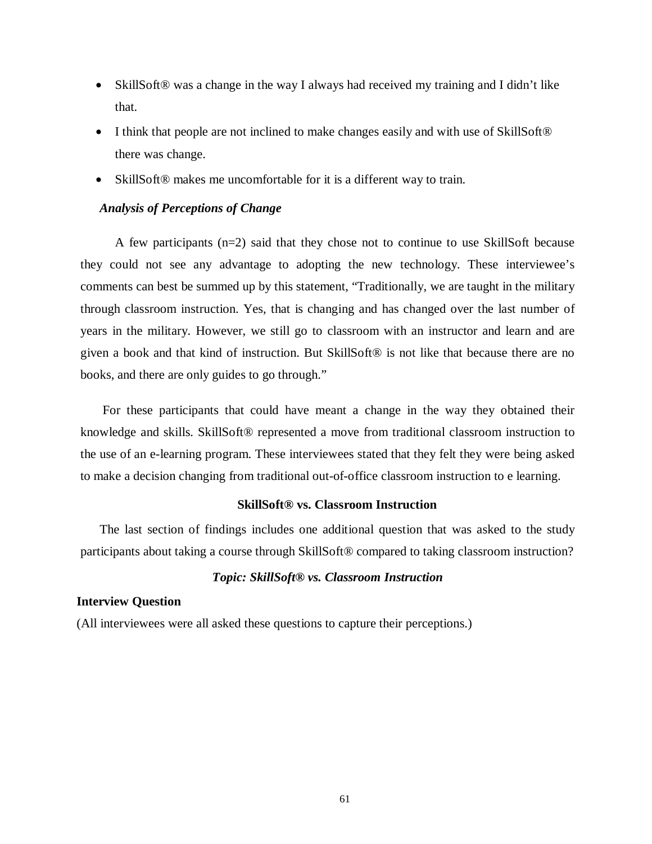- SkillSoft® was a change in the way I always had received my training and I didn't like that.
- I think that people are not inclined to make changes easily and with use of SkillSoft<sup>®</sup> there was change.
- SkillSoft<sup>®</sup> makes me uncomfortable for it is a different way to train.

#### *Analysis of Perceptions of Change*

 A few participants (n=2) said that they chose not to continue to use SkillSoft because they could not see any advantage to adopting the new technology. These interviewee's comments can best be summed up by this statement, "Traditionally, we are taught in the military through classroom instruction. Yes, that is changing and has changed over the last number of years in the military. However, we still go to classroom with an instructor and learn and are given a book and that kind of instruction. But SkillSoft® is not like that because there are no books, and there are only guides to go through."

 For these participants that could have meant a change in the way they obtained their knowledge and skills. SkillSoft® represented a move from traditional classroom instruction to the use of an e-learning program. These interviewees stated that they felt they were being asked to make a decision changing from traditional out-of-office classroom instruction to e learning.

## **SkillSoft® vs. Classroom Instruction**

The last section of findings includes one additional question that was asked to the study participants about taking a course through SkillSoft® compared to taking classroom instruction?

# *Topic: SkillSoft® vs. Classroom Instruction*

#### **Interview Question**

(All interviewees were all asked these questions to capture their perceptions.)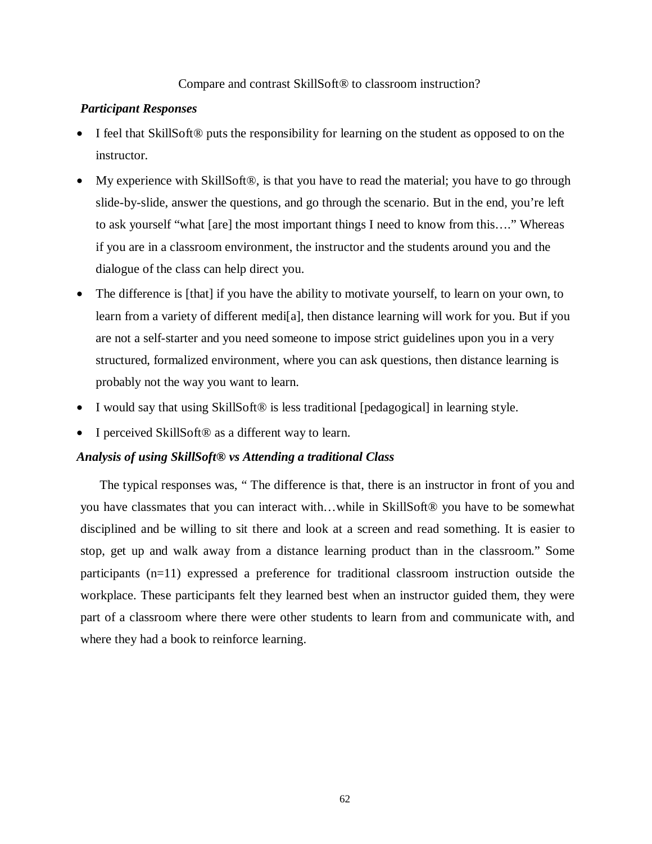## Compare and contrast SkillSoft® to classroom instruction?

## *Participant Responses*

- I feel that SkillSoft® puts the responsibility for learning on the student as opposed to on the instructor.
- My experience with SkillSoft®, is that you have to read the material; you have to go through slide-by-slide, answer the questions, and go through the scenario. But in the end, you're left to ask yourself "what [are] the most important things I need to know from this…." Whereas if you are in a classroom environment, the instructor and the students around you and the dialogue of the class can help direct you.
- The difference is [that] if you have the ability to motivate yourself, to learn on your own, to learn from a variety of different medi[a], then distance learning will work for you. But if you are not a self-starter and you need someone to impose strict guidelines upon you in a very structured, formalized environment, where you can ask questions, then distance learning is probably not the way you want to learn.
- I would say that using SkillSoft<sup>®</sup> is less traditional [pedagogical] in learning style.
- I perceived SkillSoft<sup>®</sup> as a different way to learn.

# *Analysis of using SkillSoft® vs Attending a traditional Class*

The typical responses was, " The difference is that, there is an instructor in front of you and you have classmates that you can interact with…while in SkillSoft® you have to be somewhat disciplined and be willing to sit there and look at a screen and read something. It is easier to stop, get up and walk away from a distance learning product than in the classroom." Some participants (n=11) expressed a preference for traditional classroom instruction outside the workplace. These participants felt they learned best when an instructor guided them, they were part of a classroom where there were other students to learn from and communicate with, and where they had a book to reinforce learning.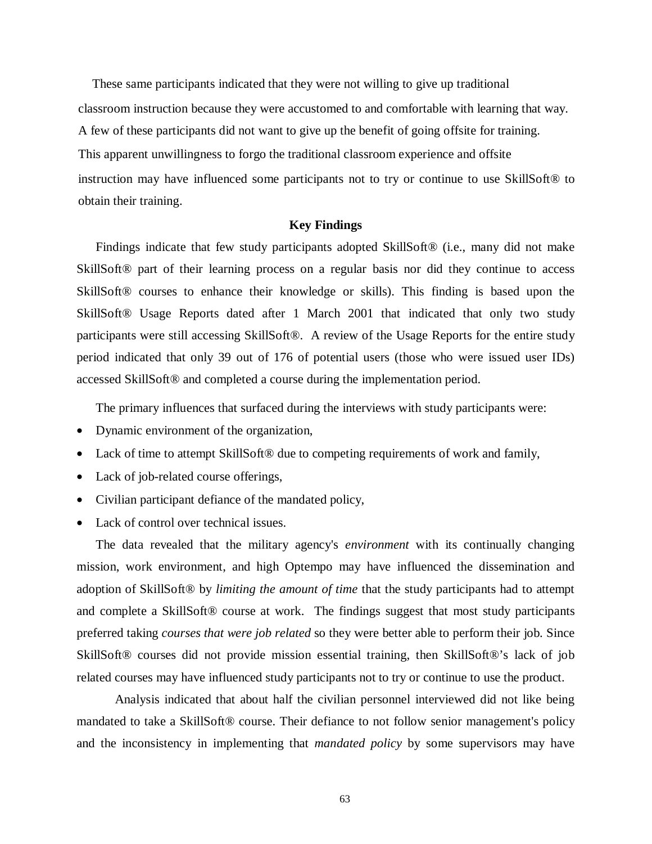These same participants indicated that they were not willing to give up traditional classroom instruction because they were accustomed to and comfortable with learning that way. A few of these participants did not want to give up the benefit of going offsite for training. This apparent unwillingness to forgo the traditional classroom experience and offsite instruction may have influenced some participants not to try or continue to use SkillSoft® to obtain their training.

#### **Key Findings**

Findings indicate that few study participants adopted SkillSoft® (i.e., many did not make SkillSoft® part of their learning process on a regular basis nor did they continue to access SkillSoft® courses to enhance their knowledge or skills). This finding is based upon the SkillSoft® Usage Reports dated after 1 March 2001 that indicated that only two study participants were still accessing SkillSoft®. A review of the Usage Reports for the entire study period indicated that only 39 out of 176 of potential users (those who were issued user IDs) accessed SkillSoft® and completed a course during the implementation period.

The primary influences that surfaced during the interviews with study participants were:

- Dynamic environment of the organization,
- Lack of time to attempt SkillSoft<sup>®</sup> due to competing requirements of work and family,
- Lack of job-related course offerings,
- Civilian participant defiance of the mandated policy,
- Lack of control over technical issues.

The data revealed that the military agency's *environment* with its continually changing mission, work environment, and high Optempo may have influenced the dissemination and adoption of SkillSoft® by *limiting the amount of time* that the study participants had to attempt and complete a SkillSoft® course at work. The findings suggest that most study participants preferred taking *courses that were job related* so they were better able to perform their job. Since SkillSoft® courses did not provide mission essential training, then SkillSoft®'s lack of job related courses may have influenced study participants not to try or continue to use the product.

 Analysis indicated that about half the civilian personnel interviewed did not like being mandated to take a SkillSoft® course. Their defiance to not follow senior management's policy and the inconsistency in implementing that *mandated policy* by some supervisors may have